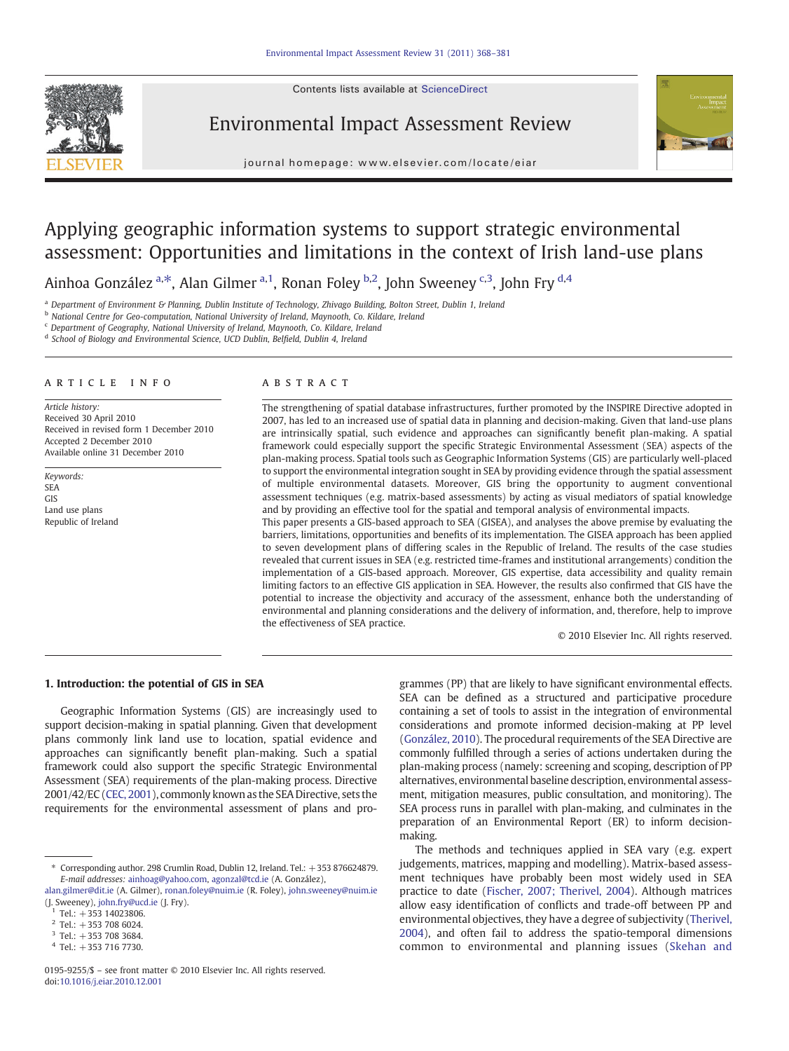Contents lists available at ScienceDirect



### Environmental Impact Assessment Review



journal homepage: www.elsevier.com/locate/eiar

## Applying geographic information systems to support strategic environmental assessment: Opportunities and limitations in the context of Irish land-use plans

Ainhoa González <sup>a, $*$ </sup>, Alan Gilmer <sup>a, 1</sup>, Ronan Foley <sup>b, 2</sup>, John Sweeney <sup>c, 3</sup>, John Fry <sup>d, 4</sup>

a Department of Environment & Planning, Dublin Institute of Technology, Zhivago Building, Bolton Street, Dublin 1, Ireland

<sup>b</sup> National Centre for Geo-computation, National University of Ireland, Maynooth, Co. Kildare, Ireland

<sup>c</sup> Department of Geography, National University of Ireland, Maynooth, Co. Kildare, Ireland

<sup>d</sup> School of Biology and Environmental Science, UCD Dublin, Belfield, Dublin 4, Ireland

#### article info abstract

Article history: Received 30 April 2010 Received in revised form 1 December 2010 Accepted 2 December 2010 Available online 31 December 2010

Keywords: SEA **GIS** Land use plans Republic of Ireland

The strengthening of spatial database infrastructures, further promoted by the INSPIRE Directive adopted in 2007, has led to an increased use of spatial data in planning and decision-making. Given that land-use plans are intrinsically spatial, such evidence and approaches can significantly benefit plan-making. A spatial framework could especially support the specific Strategic Environmental Assessment (SEA) aspects of the plan-making process. Spatial tools such as Geographic Information Systems (GIS) are particularly well-placed to support the environmental integration sought in SEA by providing evidence through the spatial assessment of multiple environmental datasets. Moreover, GIS bring the opportunity to augment conventional assessment techniques (e.g. matrix-based assessments) by acting as visual mediators of spatial knowledge and by providing an effective tool for the spatial and temporal analysis of environmental impacts. This paper presents a GIS-based approach to SEA (GISEA), and analyses the above premise by evaluating the

barriers, limitations, opportunities and benefits of its implementation. The GISEA approach has been applied to seven development plans of differing scales in the Republic of Ireland. The results of the case studies revealed that current issues in SEA (e.g. restricted time-frames and institutional arrangements) condition the implementation of a GIS-based approach. Moreover, GIS expertise, data accessibility and quality remain limiting factors to an effective GIS application in SEA. However, the results also confirmed that GIS have the potential to increase the objectivity and accuracy of the assessment, enhance both the understanding of environmental and planning considerations and the delivery of information, and, therefore, help to improve the effectiveness of SEA practice.

© 2010 Elsevier Inc. All rights reserved.

### 1. Introduction: the potential of GIS in SEA

Geographic Information Systems (GIS) are increasingly used to support decision-making in spatial planning. Given that development plans commonly link land use to location, spatial evidence and approaches can significantly benefit plan-making. Such a spatial framework could also support the specific Strategic Environmental Assessment (SEA) requirements of the plan-making process. Directive 2001/42/EC [\(CEC, 2001\)](#page--1-0), commonly known as the SEA Directive, sets the requirements for the environmental assessment of plans and programmes (PP) that are likely to have significant environmental effects. SEA can be defined as a structured and participative procedure containing a set of tools to assist in the integration of environmental considerations and promote informed decision-making at PP level [\(González, 2010](#page--1-0)). The procedural requirements of the SEA Directive are commonly fulfilled through a series of actions undertaken during the plan-making process (namely: screening and scoping, description of PP alternatives, environmental baseline description, environmental assessment, mitigation measures, public consultation, and monitoring). The SEA process runs in parallel with plan-making, and culminates in the preparation of an Environmental Report (ER) to inform decisionmaking.

The methods and techniques applied in SEA vary (e.g. expert judgements, matrices, mapping and modelling). Matrix-based assessment techniques have probably been most widely used in SEA practice to date ([Fischer, 2007; Therivel, 2004\)](#page--1-0). Although matrices allow easy identification of conflicts and trade-off between PP and environmental objectives, they have a degree of subjectivity [\(Therivel,](#page--1-0) [2004\)](#page--1-0), and often fail to address the spatio-temporal dimensions common to environmental and planning issues ([Skehan and](#page--1-0)

<sup>⁎</sup> Corresponding author. 298 Crumlin Road, Dublin 12, Ireland. Tel.: +353 876624879. E-mail addresses: [ainhoag@yahoo.com](mailto:ainhoag@yahoo.com), [agonzal@tcd.ie](mailto:agonzal@tcd.ie) (A. González),

[alan.gilmer@dit.ie](mailto:alan.gilmer@dit.ie) (A. Gilmer), [ronan.foley@nuim.ie](mailto:ronan.foley@nuim.ie) (R. Foley), [john.sweeney@nuim.ie](mailto:john.sweeney@nuim.ie) (J. Sweeney), [john.fry@ucd.ie](mailto:john.fry@ucd.ie) (J. Fry).

 $1$  Tel.: +353 14023806.

 $2$  Tel.:  $+353$  708 6024.

 $3$  Tel.: +353 708 3684.

<sup>4</sup> Tel.: +353 716 7730.

<sup>0195-9255/\$</sup> – see front matter © 2010 Elsevier Inc. All rights reserved. doi[:10.1016/j.eiar.2010.12.001](http://dx.doi.org/10.1016/j.eiar.2010.12.001)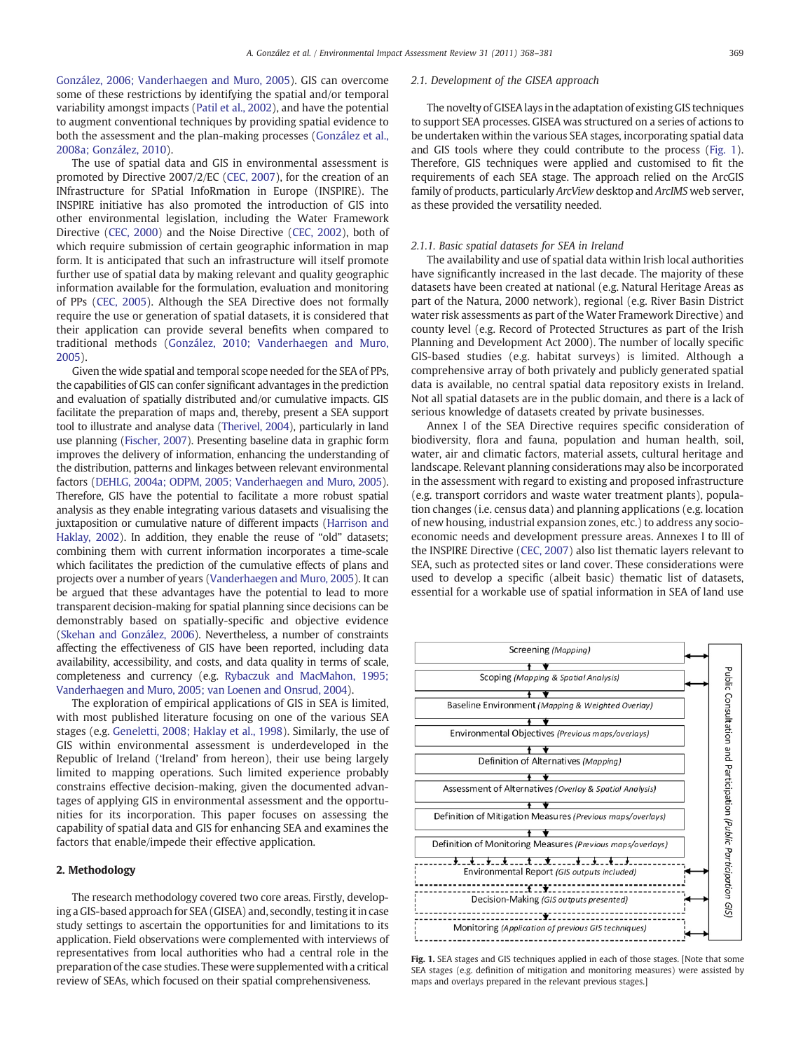[González, 2006; Vanderhaegen and Muro, 2005](#page--1-0)). GIS can overcome some of these restrictions by identifying the spatial and/or temporal variability amongst impacts [\(Patil et al., 2002](#page--1-0)), and have the potential to augment conventional techniques by providing spatial evidence to both the assessment and the plan-making processes ([González et al.,](#page--1-0) [2008a; González, 2010\)](#page--1-0).

The use of spatial data and GIS in environmental assessment is promoted by Directive 2007/2/EC [\(CEC, 2007\)](#page--1-0), for the creation of an INfrastructure for SPatial InfoRmation in Europe (INSPIRE). The INSPIRE initiative has also promoted the introduction of GIS into other environmental legislation, including the Water Framework Directive [\(CEC, 2000](#page--1-0)) and the Noise Directive ([CEC, 2002](#page--1-0)), both of which require submission of certain geographic information in map form. It is anticipated that such an infrastructure will itself promote further use of spatial data by making relevant and quality geographic information available for the formulation, evaluation and monitoring of PPs [\(CEC, 2005\)](#page--1-0). Although the SEA Directive does not formally require the use or generation of spatial datasets, it is considered that their application can provide several benefits when compared to traditional methods [\(González, 2010; Vanderhaegen and Muro,](#page--1-0) [2005\)](#page--1-0).

Given the wide spatial and temporal scope needed for the SEA of PPs, the capabilities of GIS can confer significant advantages in the prediction and evaluation of spatially distributed and/or cumulative impacts. GIS facilitate the preparation of maps and, thereby, present a SEA support tool to illustrate and analyse data ([Therivel, 2004](#page--1-0)), particularly in land use planning [\(Fischer, 2007](#page--1-0)). Presenting baseline data in graphic form improves the delivery of information, enhancing the understanding of the distribution, patterns and linkages between relevant environmental factors [\(DEHLG, 2004a; ODPM, 2005; Vanderhaegen and Muro, 2005](#page--1-0)). Therefore, GIS have the potential to facilitate a more robust spatial analysis as they enable integrating various datasets and visualising the juxtaposition or cumulative nature of different impacts [\(Harrison and](#page--1-0) [Haklay, 2002](#page--1-0)). In addition, they enable the reuse of "old" datasets; combining them with current information incorporates a time-scale which facilitates the prediction of the cumulative effects of plans and projects over a number of years ([Vanderhaegen and Muro, 2005](#page--1-0)). It can be argued that these advantages have the potential to lead to more transparent decision-making for spatial planning since decisions can be demonstrably based on spatially-specific and objective evidence [\(Skehan and González, 2006\)](#page--1-0). Nevertheless, a number of constraints affecting the effectiveness of GIS have been reported, including data availability, accessibility, and costs, and data quality in terms of scale, completeness and currency (e.g. [Rybaczuk and MacMahon, 1995;](#page--1-0) [Vanderhaegen and Muro, 2005; van Loenen and Onsrud, 2004](#page--1-0)).

The exploration of empirical applications of GIS in SEA is limited, with most published literature focusing on one of the various SEA stages (e.g. [Geneletti, 2008; Haklay et al., 1998](#page--1-0)). Similarly, the use of GIS within environmental assessment is underdeveloped in the Republic of Ireland ('Ireland' from hereon), their use being largely limited to mapping operations. Such limited experience probably constrains effective decision-making, given the documented advantages of applying GIS in environmental assessment and the opportunities for its incorporation. This paper focuses on assessing the capability of spatial data and GIS for enhancing SEA and examines the factors that enable/impede their effective application.

#### 2. Methodology

The research methodology covered two core areas. Firstly, developing a GIS-based approach for SEA (GISEA) and, secondly, testing it in case study settings to ascertain the opportunities for and limitations to its application. Field observations were complemented with interviews of representatives from local authorities who had a central role in the preparation of the case studies. These were supplemented with a critical review of SEAs, which focused on their spatial comprehensiveness.

#### 2.1. Development of the GISEA approach

The novelty of GISEA lays in the adaptation of existing GIS techniques to support SEA processes. GISEA was structured on a series of actions to be undertaken within the various SEA stages, incorporating spatial data and GIS tools where they could contribute to the process (Fig. 1). Therefore, GIS techniques were applied and customised to fit the requirements of each SEA stage. The approach relied on the ArcGIS family of products, particularly ArcView desktop and ArcIMS web server, as these provided the versatility needed.

#### 2.1.1. Basic spatial datasets for SEA in Ireland

The availability and use of spatial data within Irish local authorities have significantly increased in the last decade. The majority of these datasets have been created at national (e.g. Natural Heritage Areas as part of the Natura, 2000 network), regional (e.g. River Basin District water risk assessments as part of the Water Framework Directive) and county level (e.g. Record of Protected Structures as part of the Irish Planning and Development Act 2000). The number of locally specific GIS-based studies (e.g. habitat surveys) is limited. Although a comprehensive array of both privately and publicly generated spatial data is available, no central spatial data repository exists in Ireland. Not all spatial datasets are in the public domain, and there is a lack of serious knowledge of datasets created by private businesses.

Annex I of the SEA Directive requires specific consideration of biodiversity, flora and fauna, population and human health, soil, water, air and climatic factors, material assets, cultural heritage and landscape. Relevant planning considerations may also be incorporated in the assessment with regard to existing and proposed infrastructure (e.g. transport corridors and waste water treatment plants), population changes (i.e. census data) and planning applications (e.g. location of new housing, industrial expansion zones, etc.) to address any socioeconomic needs and development pressure areas. Annexes I to III of the INSPIRE Directive [\(CEC, 2007](#page--1-0)) also list thematic layers relevant to SEA, such as protected sites or land cover. These considerations were used to develop a specific (albeit basic) thematic list of datasets, essential for a workable use of spatial information in SEA of land use



Fig. 1. SEA stages and GIS techniques applied in each of those stages. [Note that some SEA stages (e.g. definition of mitigation and monitoring measures) were assisted by maps and overlays prepared in the relevant previous stages.]